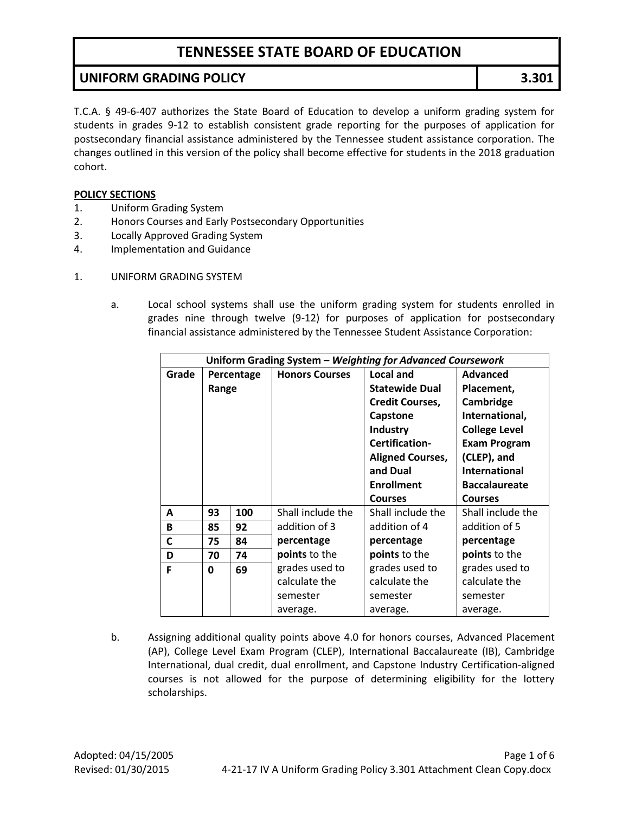### **UNIFORM GRADING POLICY 3.301**

T.C.A. § 49-6-407 authorizes the State Board of Education to develop a uniform grading system for students in grades 9-12 to establish consistent grade reporting for the purposes of application for postsecondary financial assistance administered by the Tennessee student assistance corporation. The changes outlined in this version of the policy shall become effective for students in the 2018 graduation cohort.

#### **POLICY SECTIONS**

- 1. Uniform Grading System
- 2. Honors Courses and Early Postsecondary Opportunities
- 3. Locally Approved Grading System
- 4. Implementation and Guidance
- 1. UNIFORM GRADING SYSTEM
	- a. Local school systems shall use the uniform grading system for students enrolled in grades nine through twelve (9-12) for purposes of application for postsecondary financial assistance administered by the Tennessee Student Assistance Corporation:

| Uniform Grading System - Weighting for Advanced Coursework |            |     |                       |                         |                      |
|------------------------------------------------------------|------------|-----|-----------------------|-------------------------|----------------------|
| Grade                                                      | Percentage |     | <b>Honors Courses</b> | <b>Local and</b>        | <b>Advanced</b>      |
|                                                            | Range      |     |                       | <b>Statewide Dual</b>   | Placement,           |
|                                                            |            |     |                       | <b>Credit Courses,</b>  | Cambridge            |
|                                                            |            |     |                       | Capstone                | International,       |
|                                                            |            |     |                       | <b>Industry</b>         | <b>College Level</b> |
|                                                            |            |     |                       | Certification-          | <b>Exam Program</b>  |
|                                                            |            |     |                       | <b>Aligned Courses,</b> | (CLEP), and          |
|                                                            |            |     |                       | and Dual                | <b>International</b> |
|                                                            |            |     |                       | <b>Enrollment</b>       | <b>Baccalaureate</b> |
|                                                            |            |     |                       | <b>Courses</b>          | <b>Courses</b>       |
| A                                                          | 93         | 100 | Shall include the     | Shall include the       | Shall include the    |
| B                                                          | 85         | 92  | addition of 3         | addition of 4           | addition of 5        |
| C                                                          | 75         | 84  | percentage            | percentage              | percentage           |
| D                                                          | 70         | 74  | points to the         | points to the           | points to the        |
| F                                                          | 0          | 69  | grades used to        | grades used to          | grades used to       |
|                                                            |            |     | calculate the         | calculate the           | calculate the        |
|                                                            |            |     | semester              | semester                | semester             |
|                                                            |            |     | average.              | average.                | average.             |

b. Assigning additional quality points above 4.0 for honors courses, Advanced Placement (AP), College Level Exam Program (CLEP), International Baccalaureate (IB), Cambridge International, dual credit, dual enrollment, and Capstone Industry Certification-aligned courses is not allowed for the purpose of determining eligibility for the lottery scholarships.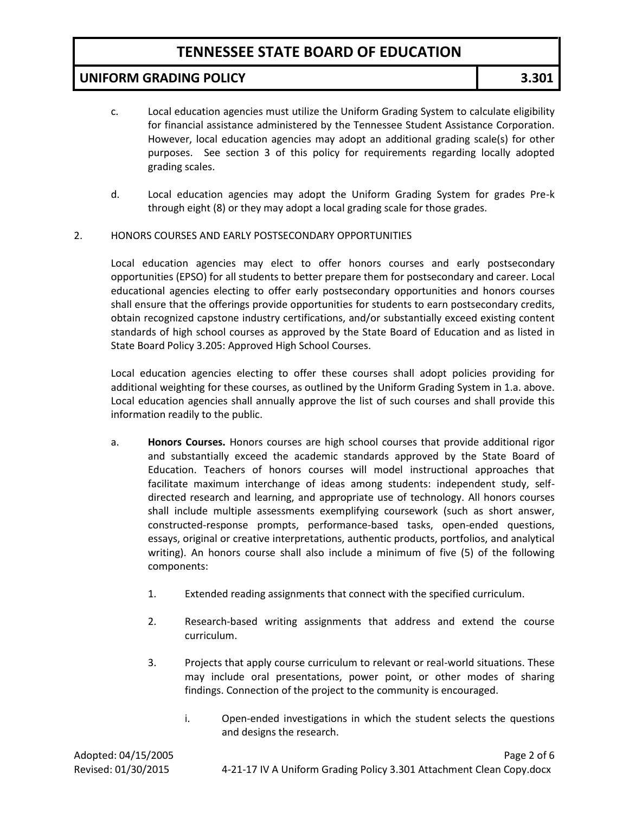### **UNIFORM GRADING POLICY 3.301**

- c. Local education agencies must utilize the Uniform Grading System to calculate eligibility for financial assistance administered by the Tennessee Student Assistance Corporation. However, local education agencies may adopt an additional grading scale(s) for other purposes. See section 3 of this policy for requirements regarding locally adopted grading scales.
- d. Local education agencies may adopt the Uniform Grading System for grades Pre-k through eight (8) or they may adopt a local grading scale for those grades.

#### 2. HONORS COURSES AND EARLY POSTSECONDARY OPPORTUNITIES

Local education agencies may elect to offer honors courses and early postsecondary opportunities (EPSO) for all students to better prepare them for postsecondary and career. Local educational agencies electing to offer early postsecondary opportunities and honors courses shall ensure that the offerings provide opportunities for students to earn postsecondary credits, obtain recognized capstone industry certifications, and/or substantially exceed existing content standards of high school courses as approved by the State Board of Education and as listed in State Board Policy 3.205: Approved High School Courses.

Local education agencies electing to offer these courses shall adopt policies providing for additional weighting for these courses, as outlined by the Uniform Grading System in 1.a. above. Local education agencies shall annually approve the list of such courses and shall provide this information readily to the public.

- a. **Honors Courses.** Honors courses are high school courses that provide additional rigor and substantially exceed the academic standards approved by the State Board of Education. Teachers of honors courses will model instructional approaches that facilitate maximum interchange of ideas among students: independent study, selfdirected research and learning, and appropriate use of technology. All honors courses shall include multiple assessments exemplifying coursework (such as short answer, constructed-response prompts, performance-based tasks, open-ended questions, essays, original or creative interpretations, authentic products, portfolios, and analytical writing). An honors course shall also include a minimum of five (5) of the following components:
	- 1. Extended reading assignments that connect with the specified curriculum.
	- 2. Research-based writing assignments that address and extend the course curriculum.
	- 3. Projects that apply course curriculum to relevant or real-world situations. These may include oral presentations, power point, or other modes of sharing findings. Connection of the project to the community is encouraged.
		- i. Open-ended investigations in which the student selects the questions and designs the research.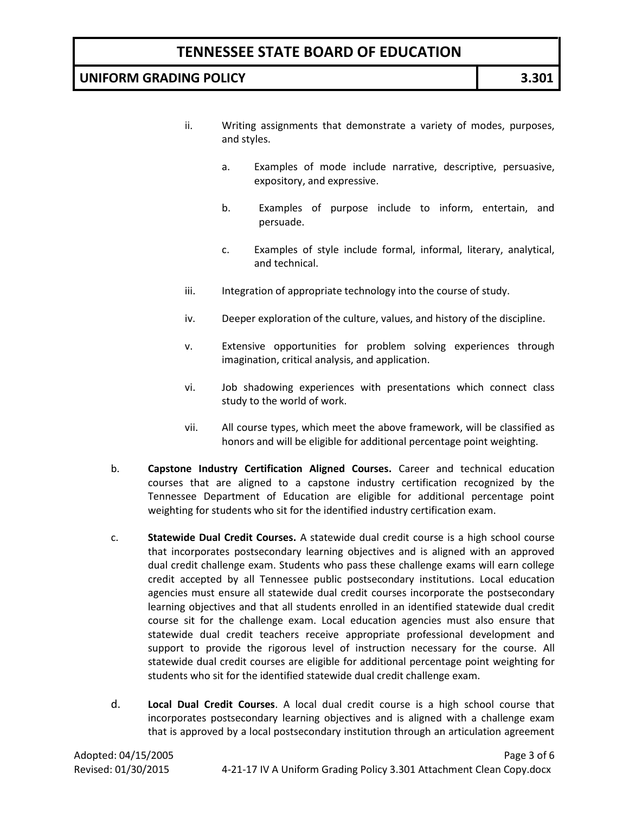### **UNIFORM GRADING POLICY 3.301**

- ii. Writing assignments that demonstrate a variety of modes, purposes, and styles.
	- a. Examples of mode include narrative, descriptive, persuasive, expository, and expressive.
	- b. Examples of purpose include to inform, entertain, and persuade.
	- c. Examples of style include formal, informal, literary, analytical, and technical.
- iii. Integration of appropriate technology into the course of study.
- iv. Deeper exploration of the culture, values, and history of the discipline.
- v. Extensive opportunities for problem solving experiences through imagination, critical analysis, and application.
- vi. Job shadowing experiences with presentations which connect class study to the world of work.
- vii. All course types, which meet the above framework, will be classified as honors and will be eligible for additional percentage point weighting.
- b. **Capstone Industry Certification Aligned Courses.** Career and technical education courses that are aligned to a capstone industry certification recognized by the Tennessee Department of Education are eligible for additional percentage point weighting for students who sit for the identified industry certification exam.
- c. **Statewide Dual Credit Courses.** A statewide dual credit course is a high school course that incorporates postsecondary learning objectives and is aligned with an approved dual credit challenge exam. Students who pass these challenge exams will earn college credit accepted by all Tennessee public postsecondary institutions. Local education agencies must ensure all statewide dual credit courses incorporate the postsecondary learning objectives and that all students enrolled in an identified statewide dual credit course sit for the challenge exam. Local education agencies must also ensure that statewide dual credit teachers receive appropriate professional development and support to provide the rigorous level of instruction necessary for the course. All statewide dual credit courses are eligible for additional percentage point weighting for students who sit for the identified statewide dual credit challenge exam.
- d. **Local Dual Credit Courses**. A local dual credit course is a high school course that incorporates postsecondary learning objectives and is aligned with a challenge exam that is approved by a local postsecondary institution through an articulation agreement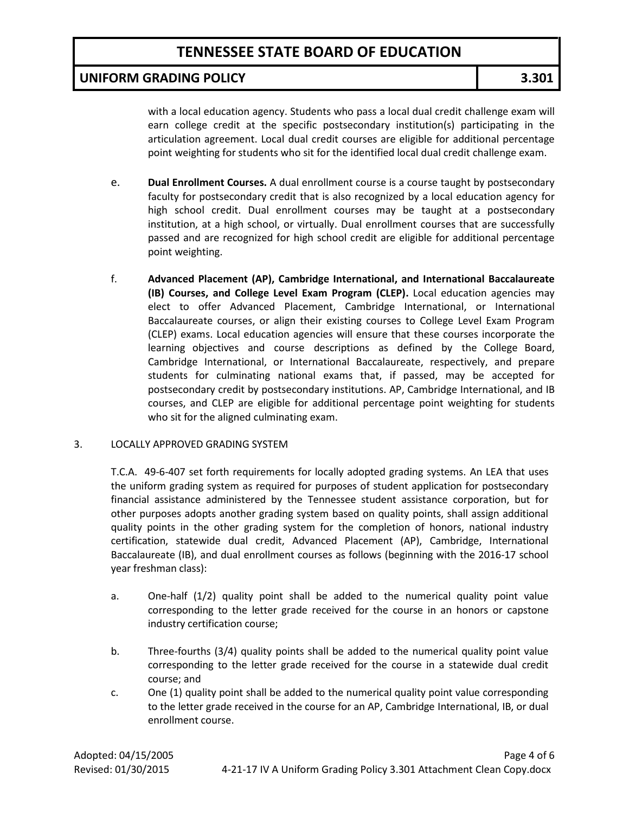### **UNIFORM GRADING POLICY 3.301**

with a local education agency. Students who pass a local dual credit challenge exam will earn college credit at the specific postsecondary institution(s) participating in the articulation agreement. Local dual credit courses are eligible for additional percentage point weighting for students who sit for the identified local dual credit challenge exam.

- e. **Dual Enrollment Courses.** A dual enrollment course is a course taught by postsecondary faculty for postsecondary credit that is also recognized by a local education agency for high school credit. Dual enrollment courses may be taught at a postsecondary institution, at a high school, or virtually. Dual enrollment courses that are successfully passed and are recognized for high school credit are eligible for additional percentage point weighting.
- f. **Advanced Placement (AP), Cambridge International, and International Baccalaureate (IB) Courses, and College Level Exam Program (CLEP).** Local education agencies may elect to offer Advanced Placement, Cambridge International, or International Baccalaureate courses, or align their existing courses to College Level Exam Program (CLEP) exams. Local education agencies will ensure that these courses incorporate the learning objectives and course descriptions as defined by the College Board, Cambridge International, or International Baccalaureate, respectively, and prepare students for culminating national exams that, if passed, may be accepted for postsecondary credit by postsecondary institutions. AP, Cambridge International, and IB courses, and CLEP are eligible for additional percentage point weighting for students who sit for the aligned culminating exam.

#### 3. LOCALLY APPROVED GRADING SYSTEM

T.C.A. 49-6-407 set forth requirements for locally adopted grading systems. An LEA that uses the uniform grading system as required for purposes of student application for postsecondary financial assistance administered by the Tennessee student assistance corporation, but for other purposes adopts another grading system based on quality points, shall assign additional quality points in the other grading system for the completion of honors, national industry certification, statewide dual credit, Advanced Placement (AP), Cambridge, International Baccalaureate (IB), and dual enrollment courses as follows (beginning with the 2016-17 school year freshman class):

- a. One-half (1/2) quality point shall be added to the numerical quality point value corresponding to the letter grade received for the course in an honors or capstone industry certification course;
- b. Three-fourths (3/4) quality points shall be added to the numerical quality point value corresponding to the letter grade received for the course in a statewide dual credit course; and
- c. One (1) quality point shall be added to the numerical quality point value corresponding to the letter grade received in the course for an AP, Cambridge International, IB, or dual enrollment course.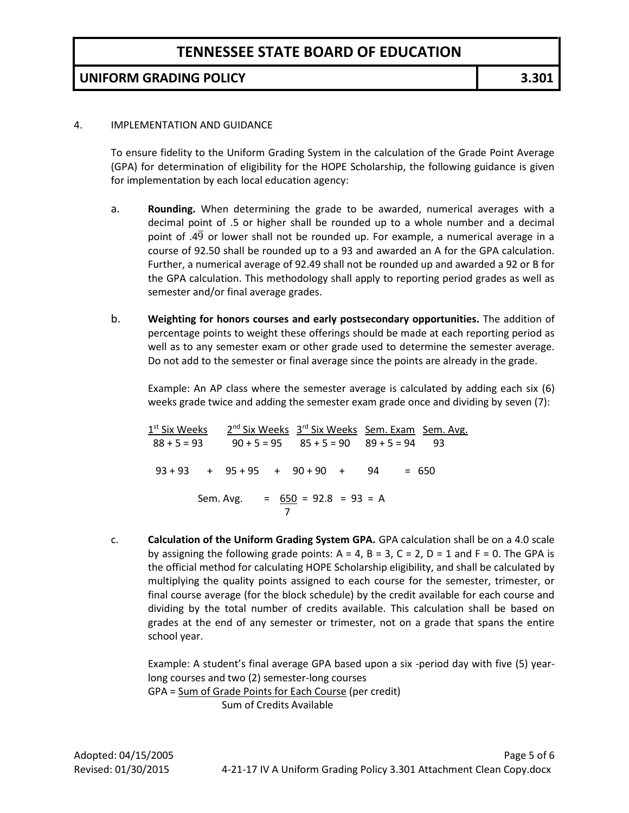### **UNIFORM GRADING POLICY 3.301**

#### 4. IMPLEMENTATION AND GUIDANCE

To ensure fidelity to the Uniform Grading System in the calculation of the Grade Point Average (GPA) for determination of eligibility for the HOPE Scholarship, the following guidance is given for implementation by each local education agency:

- a. **Rounding.** When determining the grade to be awarded, numerical averages with a decimal point of .5 or higher shall be rounded up to a whole number and a decimal point of  $.4\overline{9}$  or lower shall not be rounded up. For example, a numerical average in a course of 92.50 shall be rounded up to a 93 and awarded an A for the GPA calculation. Further, a numerical average of 92.49 shall not be rounded up and awarded a 92 or B for the GPA calculation. This methodology shall apply to reporting period grades as well as semester and/or final average grades.
- b. **Weighting for honors courses and early postsecondary opportunities.** The addition of percentage points to weight these offerings should be made at each reporting period as well as to any semester exam or other grade used to determine the semester average. Do not add to the semester or final average since the points are already in the grade.

Example: An AP class where the semester average is calculated by adding each six (6) weeks grade twice and adding the semester exam grade once and dividing by seven (7):

1<sup>st</sup> Six Weeks 2 <sup>nd</sup> Six Weeks 3<sup>rd</sup> Six Weeks Sem. Exam Sem. Avg.  $88 + 5 = 93$   $90 + 5 = 95$   $85 + 5 = 90$   $89 + 5 = 94$  93  $93 + 93 + 95 + 95 + 90 + 90 + 94 = 650$  Sem. Avg. = 650 = 92.8 = 93 = A 7

c. **Calculation of the Uniform Grading System GPA.** GPA calculation shall be on a 4.0 scale by assigning the following grade points:  $A = 4$ ,  $B = 3$ ,  $C = 2$ ,  $D = 1$  and  $F = 0$ . The GPA is the official method for calculating HOPE Scholarship eligibility, and shall be calculated by multiplying the quality points assigned to each course for the semester, trimester, or final course average (for the block schedule) by the credit available for each course and dividing by the total number of credits available. This calculation shall be based on grades at the end of any semester or trimester, not on a grade that spans the entire school year.

Example: A student's final average GPA based upon a six -period day with five (5) yearlong courses and two (2) semester-long courses GPA = Sum of Grade Points for Each Course (per credit) Sum of Credits Available